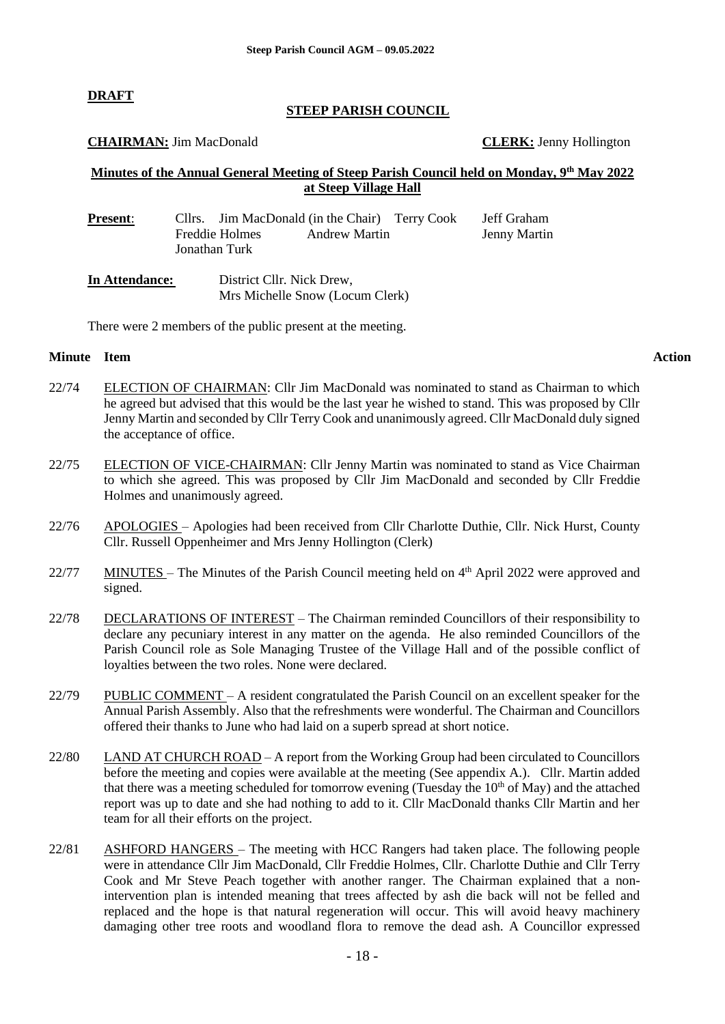#### **DRAFT**

#### **STEEP PARISH COUNCIL**

#### **CHAIRMAN:** Jim MacDonald **CLERK:** Jenny Hollington

#### **Minutes of the Annual General Meeting of Steep Parish Council held on Monday, 9 th May 2022 at Steep Village Hall**

| <b>Present:</b> | Cllrs. Jim MacDonald (in the Chair) Terry Cook          | Jeff Graham  |
|-----------------|---------------------------------------------------------|--------------|
|                 | Freddie Holmes<br><b>Andrew Martin</b><br>Jonathan Turk | Jenny Martin |
| In Attendance:  | District Cllr. Nick Drew,                               |              |

Mrs Michelle Snow (Locum Clerk)

There were 2 members of the public present at the meeting.

#### **Minute Item Action**

- 22/74 ELECTION OF CHAIRMAN: Cllr Jim MacDonald was nominated to stand as Chairman to which he agreed but advised that this would be the last year he wished to stand. This was proposed by Cllr Jenny Martin and seconded by Cllr Terry Cook and unanimously agreed. Cllr MacDonald duly signed the acceptance of office.
- 22/75 ELECTION OF VICE-CHAIRMAN: Cllr Jenny Martin was nominated to stand as Vice Chairman to which she agreed. This was proposed by Cllr Jim MacDonald and seconded by Cllr Freddie Holmes and unanimously agreed.
- 22/76 APOLOGIES – Apologies had been received from Cllr Charlotte Duthie, Cllr. Nick Hurst, County Cllr. Russell Oppenheimer and Mrs Jenny Hollington (Clerk)
- 22/77  $MINUTES$  – The Minutes of the Parish Council meeting held on  $4<sup>th</sup>$  April 2022 were approved and signed.
- 22/78 DECLARATIONS OF INTEREST – The Chairman reminded Councillors of their responsibility to declare any pecuniary interest in any matter on the agenda. He also reminded Councillors of the Parish Council role as Sole Managing Trustee of the Village Hall and of the possible conflict of loyalties between the two roles. None were declared.
- 22/79 PUBLIC COMMENT – A resident congratulated the Parish Council on an excellent speaker for the Annual Parish Assembly. Also that the refreshments were wonderful. The Chairman and Councillors offered their thanks to June who had laid on a superb spread at short notice.
- 22/80 LAND AT CHURCH ROAD – A report from the Working Group had been circulated to Councillors before the meeting and copies were available at the meeting (See appendix A.). Cllr. Martin added that there was a meeting scheduled for tomorrow evening (Tuesday the  $10<sup>th</sup>$  of May) and the attached report was up to date and she had nothing to add to it. Cllr MacDonald thanks Cllr Martin and her team for all their efforts on the project.
- 22/81 ASHFORD HANGERS – The meeting with HCC Rangers had taken place. The following people were in attendance Cllr Jim MacDonald, Cllr Freddie Holmes, Cllr. Charlotte Duthie and Cllr Terry Cook and Mr Steve Peach together with another ranger. The Chairman explained that a nonintervention plan is intended meaning that trees affected by ash die back will not be felled and replaced and the hope is that natural regeneration will occur. This will avoid heavy machinery damaging other tree roots and woodland flora to remove the dead ash. A Councillor expressed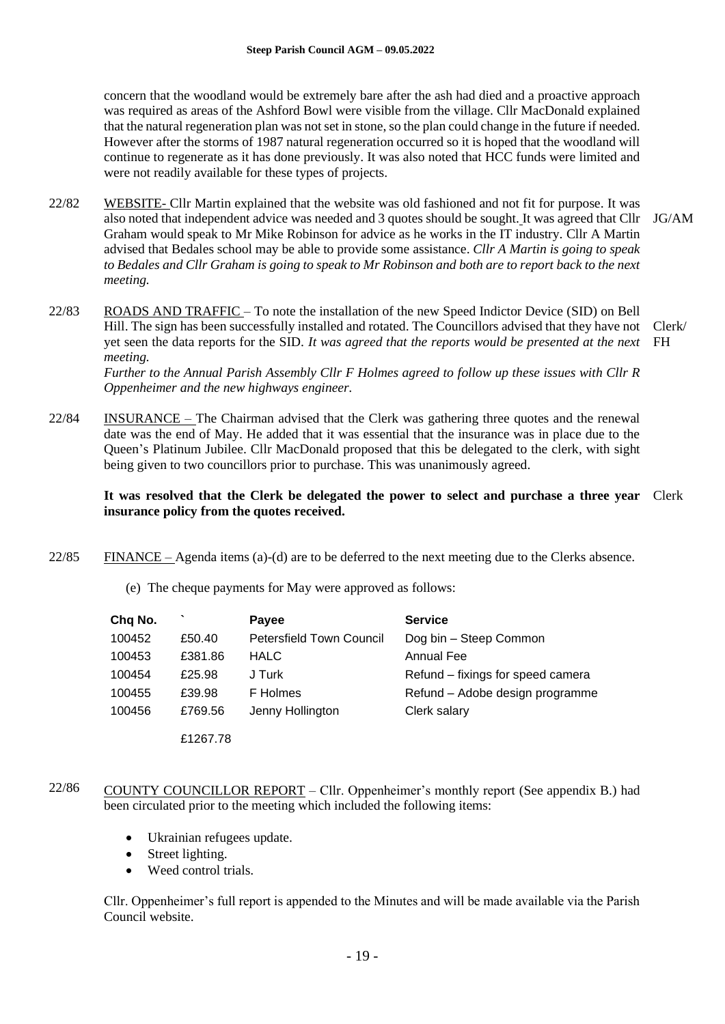concern that the woodland would be extremely bare after the ash had died and a proactive approach was required as areas of the Ashford Bowl were visible from the village. Cllr MacDonald explained that the natural regeneration plan was not set in stone, so the plan could change in the future if needed. However after the storms of 1987 natural regeneration occurred so it is hoped that the woodland will continue to regenerate as it has done previously. It was also noted that HCC funds were limited and were not readily available for these types of projects.

- 22/82 WEBSITE- Cllr Martin explained that the website was old fashioned and not fit for purpose. It was also noted that independent advice was needed and 3 quotes should be sought. It was agreed that Cllr JG/AM Graham would speak to Mr Mike Robinson for advice as he works in the IT industry. Cllr A Martin advised that Bedales school may be able to provide some assistance. *Cllr A Martin is going to speak to Bedales and Cllr Graham is going to speak to Mr Robinson and both are to report back to the next meeting.*
- 22/83 ROADS AND TRAFFIC – To note the installation of the new Speed Indictor Device (SID) on Bell Hill. The sign has been successfully installed and rotated. The Councillors advised that they have not Clerk/ yet seen the data reports for the SID. *It was agreed that the reports would be presented at the next*  FH *meeting.*

*Further to the Annual Parish Assembly Cllr F Holmes agreed to follow up these issues with Cllr R Oppenheimer and the new highways engineer.*

22/84 INSURANCE – The Chairman advised that the Clerk was gathering three quotes and the renewal date was the end of May. He added that it was essential that the insurance was in place due to the Queen's Platinum Jubilee. Cllr MacDonald proposed that this be delegated to the clerk, with sight being given to two councillors prior to purchase. This was unanimously agreed.

#### **It was resolved that the Clerk be delegated the power to select and purchase a three year**  Clerk**insurance policy from the quotes received.**

- 22/85 FINANCE – Agenda items (a)-(d) are to be deferred to the next meeting due to the Clerks absence.
	- (e) The cheque payments for May were approved as follows:

| Chq No. |          | <b>Payee</b>                    | <b>Service</b>                    |
|---------|----------|---------------------------------|-----------------------------------|
| 100452  | £50.40   | <b>Petersfield Town Council</b> | Dog bin - Steep Common            |
| 100453  | £381.86  | <b>HALC</b>                     | <b>Annual Fee</b>                 |
| 100454  | £25.98   | J Turk                          | Refund – fixings for speed camera |
| 100455  | £39.98   | F Holmes                        | Refund - Adobe design programme   |
| 100456  | £769.56  | Jenny Hollington                | Clerk salary                      |
|         | F1267 78 |                                 |                                   |

- 22/86 COUNTY COUNCILLOR REPORT – Cllr. Oppenheimer's monthly report (See appendix B.) had been circulated prior to the meeting which included the following items:
	- Ukrainian refugees update.
	- Street lighting.
	- Weed control trials.

Cllr. Oppenheimer's full report is appended to the Minutes and will be made available via the Parish Council website.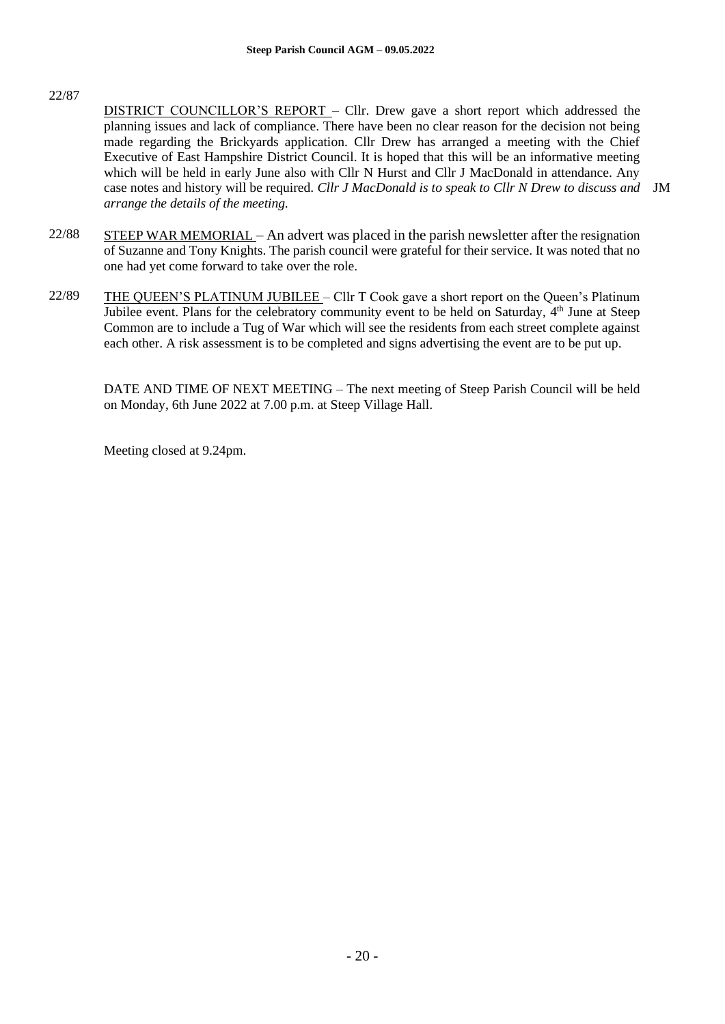### 22/87

- DISTRICT COUNCILLOR'S REPORT Cllr. Drew gave a short report which addressed the planning issues and lack of compliance. There have been no clear reason for the decision not being made regarding the Brickyards application. Cllr Drew has arranged a meeting with the Chief Executive of East Hampshire District Council. It is hoped that this will be an informative meeting which will be held in early June also with Cllr N Hurst and Cllr J MacDonald in attendance. Any case notes and history will be required. *Cllr J MacDonald is to speak to Cllr N Drew to discuss and*  JM*arrange the details of the meeting.*
- 22/88 STEEP WAR MEMORIAL – An advert was placed in the parish newsletter after the resignation of Suzanne and Tony Knights. The parish council were grateful for their service. It was noted that no one had yet come forward to take over the role.
- 22/89 THE QUEEN'S PLATINUM JUBILEE – Cllr T Cook gave a short report on the Queen's Platinum Jubilee event. Plans for the celebratory community event to be held on Saturday, 4<sup>th</sup> June at Steep Common are to include a Tug of War which will see the residents from each street complete against each other. A risk assessment is to be completed and signs advertising the event are to be put up.

DATE AND TIME OF NEXT MEETING – The next meeting of Steep Parish Council will be held on Monday, 6th June 2022 at 7.00 p.m. at Steep Village Hall.

Meeting closed at 9.24pm.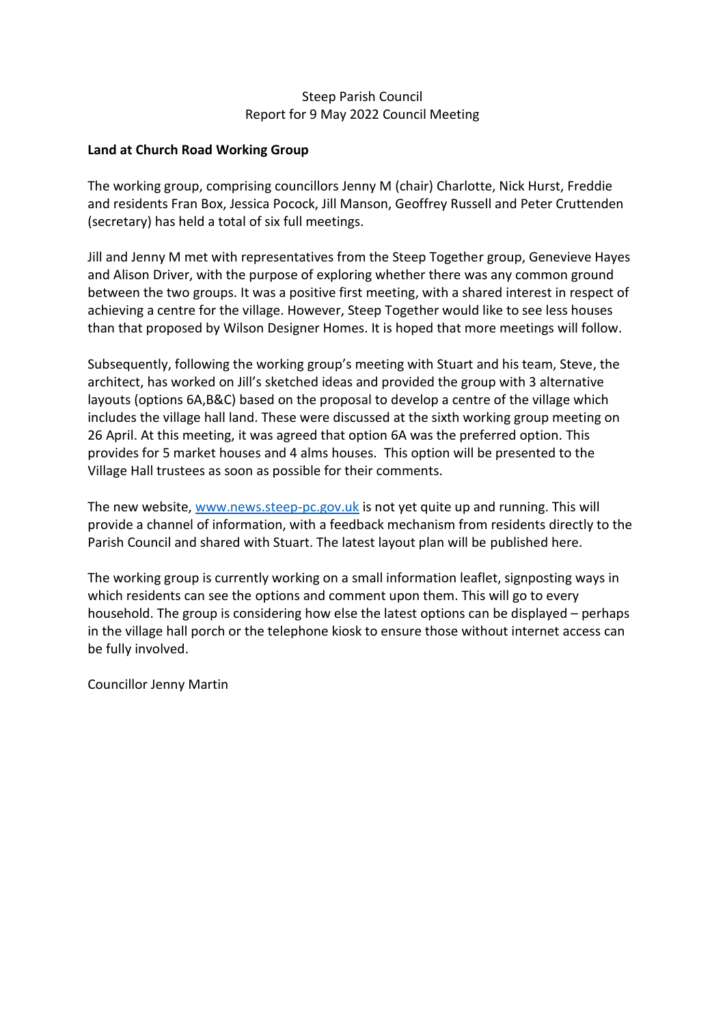#### Steep Parish Council Report for 9 May 2022 Council Meeting

#### **Land at Church Road Working Group**

The working group, comprising councillors Jenny M (chair) Charlotte, Nick Hurst, Freddie and residents Fran Box, Jessica Pocock, Jill Manson, Geoffrey Russell and Peter Cruttenden (secretary) has held a total of six full meetings.

Jill and Jenny M met with representatives from the Steep Together group, Genevieve Hayes and Alison Driver, with the purpose of exploring whether there was any common ground between the two groups. It was a positive first meeting, with a shared interest in respect of achieving a centre for the village. However, Steep Together would like to see less houses than that proposed by Wilson Designer Homes. It is hoped that more meetings will follow.

Subsequently, following the working group's meeting with Stuart and his team, Steve, the architect, has worked on Jill's sketched ideas and provided the group with 3 alternative layouts (options 6A,B&C) based on the proposal to develop a centre of the village which includes the village hall land. These were discussed at the sixth working group meeting on 26 April. At this meeting, it was agreed that option 6A was the preferred option. This provides for 5 market houses and 4 alms houses. This option will be presented to the Village Hall trustees as soon as possible for their comments.

The new website, [www.news.steep-pc.gov.uk](http://www.news.steep-pc.gov.uk/) is not yet quite up and running. This will provide a channel of information, with a feedback mechanism from residents directly to the Parish Council and shared with Stuart. The latest layout plan will be published here.

The working group is currently working on a small information leaflet, signposting ways in which residents can see the options and comment upon them. This will go to every household. The group is considering how else the latest options can be displayed – perhaps in the village hall porch or the telephone kiosk to ensure those without internet access can be fully involved.

Councillor Jenny Martin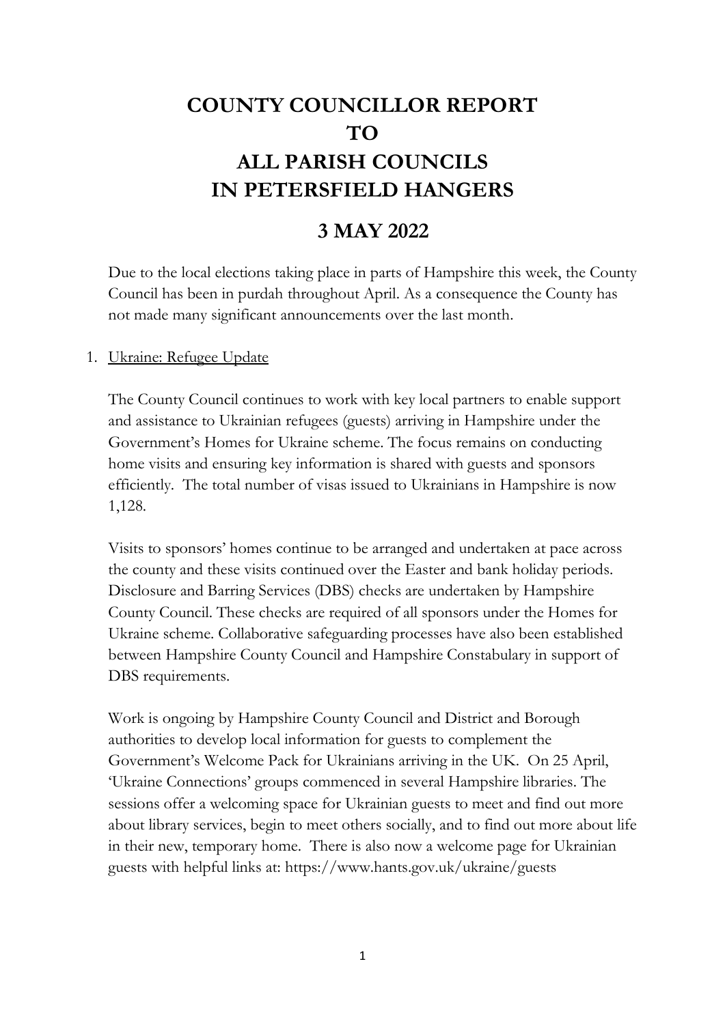# **COUNTY COUNCILLOR REPORT TO ALL PARISH COUNCILS IN PETERSFIELD HANGERS**

# **3 MAY 2022**

Due to the local elections taking place in parts of Hampshire this week, the County Council has been in purdah throughout April. As a consequence the County has not made many significant announcements over the last month.

### 1. Ukraine: Refugee Update

The County Council continues to work with key local partners to enable support and assistance to Ukrainian refugees (guests) arriving in Hampshire under the Government's Homes for Ukraine scheme. The focus remains on conducting home visits and ensuring key information is shared with guests and sponsors efficiently. The total number of visas issued to Ukrainians in Hampshire is now 1,128.

Visits to sponsors' homes continue to be arranged and undertaken at pace across the county and these visits continued over the Easter and bank holiday periods. Disclosure and Barring Services (DBS) checks are undertaken by Hampshire County Council. These checks are required of all sponsors under the Homes for Ukraine scheme. Collaborative safeguarding processes have also been established between Hampshire County Council and Hampshire Constabulary in support of DBS requirements.

Work is ongoing by Hampshire County Council and District and Borough authorities to develop local information for guests to complement the Government's Welcome Pack for Ukrainians arriving in the UK. On 25 April, 'Ukraine Connections' groups commenced in several Hampshire libraries. The sessions offer a welcoming space for Ukrainian guests to meet and find out more about library services, begin to meet others socially, and to find out more about life in their new, temporary home. There is also now a welcome page for Ukrainian guests with helpful links at: https://www.hants.gov.uk/ukraine/guests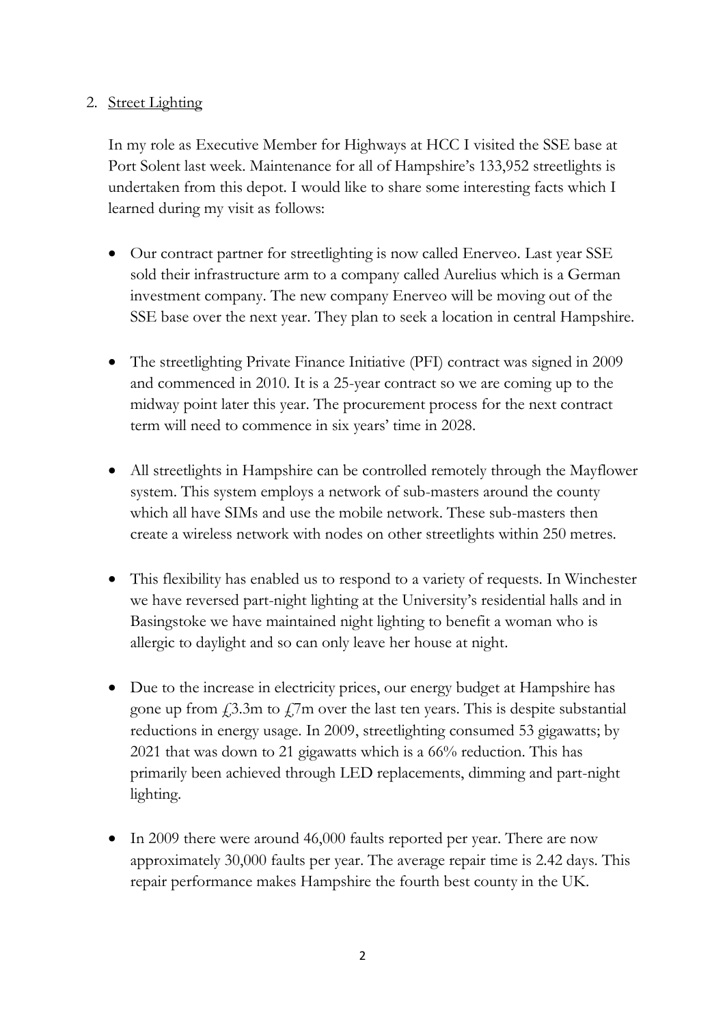# 2. Street Lighting

In my role as Executive Member for Highways at HCC I visited the SSE base at Port Solent last week. Maintenance for all of Hampshire's 133,952 streetlights is undertaken from this depot. I would like to share some interesting facts which I learned during my visit as follows:

- Our contract partner for streetlighting is now called Enerveo. Last year SSE sold their infrastructure arm to a company called Aurelius which is a German investment company. The new company Enerveo will be moving out of the SSE base over the next year. They plan to seek a location in central Hampshire.
- The streetlighting Private Finance Initiative (PFI) contract was signed in 2009 and commenced in 2010. It is a 25-year contract so we are coming up to the midway point later this year. The procurement process for the next contract term will need to commence in six years' time in 2028.
- All streetlights in Hampshire can be controlled remotely through the Mayflower system. This system employs a network of sub-masters around the county which all have SIMs and use the mobile network. These sub-masters then create a wireless network with nodes on other streetlights within 250 metres.
- This flexibility has enabled us to respond to a variety of requests. In Winchester we have reversed part-night lighting at the University's residential halls and in Basingstoke we have maintained night lighting to benefit a woman who is allergic to daylight and so can only leave her house at night.
- Due to the increase in electricity prices, our energy budget at Hampshire has gone up from  $\text{\emph{f}}\text{,}3.3\text{m}$  to  $\text{\emph{f}}\text{,}7\text{m}$  over the last ten years. This is despite substantial reductions in energy usage. In 2009, streetlighting consumed 53 gigawatts; by 2021 that was down to 21 gigawatts which is a 66% reduction. This has primarily been achieved through LED replacements, dimming and part-night lighting.
- In 2009 there were around 46,000 faults reported per year. There are now approximately 30,000 faults per year. The average repair time is 2.42 days. This repair performance makes Hampshire the fourth best county in the UK.